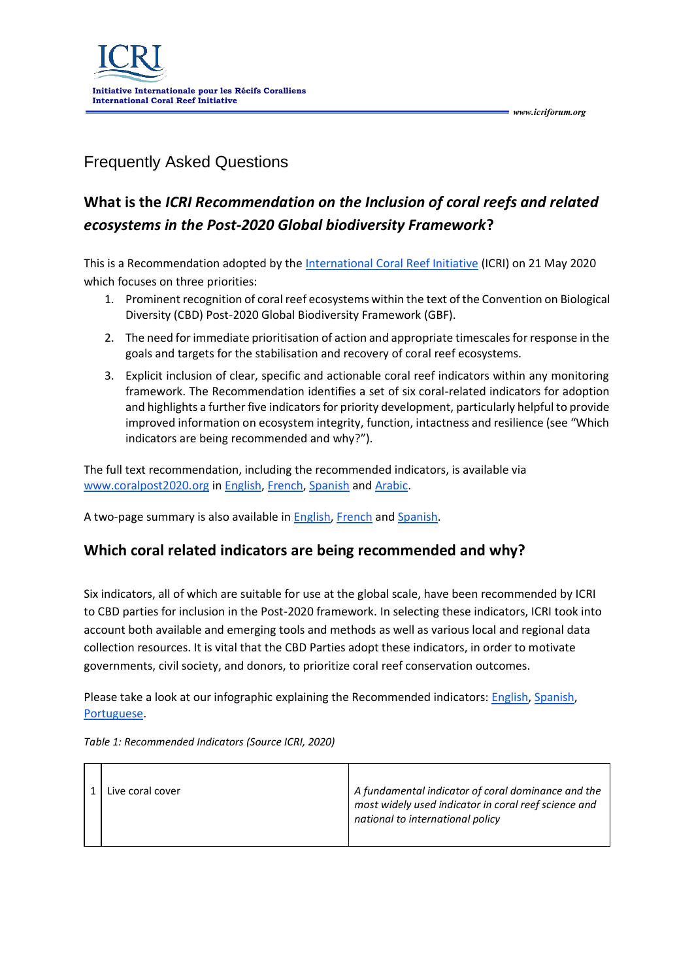

Frequently Asked Questions

# **What is the** *ICRI Recommendation on the Inclusion of coral reefs and related ecosystems in the Post-2020 Global biodiversity Framework***?**

*www.icriforum.org* 

This is a Recommendation adopted by the [International Coral Reef Initiative](https://www.icriforum.org/) (ICRI) on 21 May 2020 which focuses on three priorities:

- 1. Prominent recognition of coral reef ecosystems within the text of the Convention on Biological Diversity (CBD) Post-2020 Global Biodiversity Framework (GBF).
- 2. The need for immediate prioritisation of action and appropriate timescales for response in the goals and targets for the stabilisation and recovery of coral reef ecosystems.
- 3. Explicit inclusion of clear, specific and actionable coral reef indicators within any monitoring framework. The Recommendation identifies a set of six coral-related indicators for adoption and highlights a further five indicators for priority development, particularly helpful to provide improved information on ecosystem integrity, function, intactness and resilience (see "Which indicators are being recommended and why?").

The full text recommendation, including the recommended indicators, is available via [www.coralpost2020.org](http://www.coralpost2020.org/) in [English,](https://www.icriforum.org/wp-content/uploads/2020/05/ICRI-recommendation-Post2020-FINAL.pdf) [French,](https://www.icriforum.org/wp-content/uploads/2020/06/ICRI-recommendation-Post2020-FINAL_FRENCH.pdf) [Spanish](https://www.icriforum.org/wp-content/uploads/2020/06/ICRI-recommendation-Post2020-FINAL_SPANISH.pdf) and [Arabic.](https://www.icriforum.org/wp-content/uploads/2020/06/ICRI-Recommendation-Summary.Arabic.pdf)

A two-page summary is also available in [English,](https://www.icriforum.org/wp-content/uploads/2020/05/ICRI-Recommendation-Summary.pdf) [French](https://www.icriforum.org/wp-content/uploads/2020/06/ICRI_Recommendation_Summary.5.22.20_FR.pdf) an[d Spanish.](https://www.icriforum.org/wp-content/uploads/2020/06/ICRI_Recommendation_Summary.5.22.20_ES.pdf)

## **Which coral related indicators are being recommended and why?**

Six indicators, all of which are suitable for use at the global scale, have been recommended by ICRI to CBD parties for inclusion in the Post-2020 framework. In selecting these indicators, ICRI took into account both available and emerging tools and methods as well as various local and regional data collection resources. It is vital that the CBD Parties adopt these indicators, in order to motivate governments, civil society, and donors, to prioritize coral reef conservation outcomes.

Please take a look at our infographic explaining the Recommended indicators: [English,](https://www.icriforum.org/wp-content/uploads/2020/05/Indicators-scaled.jpg) Spanish, [Portuguese.](https://www.icriforum.org/wp-content/uploads/2020/07/ICRI_Indicators_Portuguese_Indicators.jpg)

|  | Live coral cover | A fundamental indicator of coral dominance and the<br>most widely used indicator in coral reef science and<br>national to international policy |
|--|------------------|------------------------------------------------------------------------------------------------------------------------------------------------|
|--|------------------|------------------------------------------------------------------------------------------------------------------------------------------------|

*Table 1: Recommended Indicators (Source ICRI, 2020)*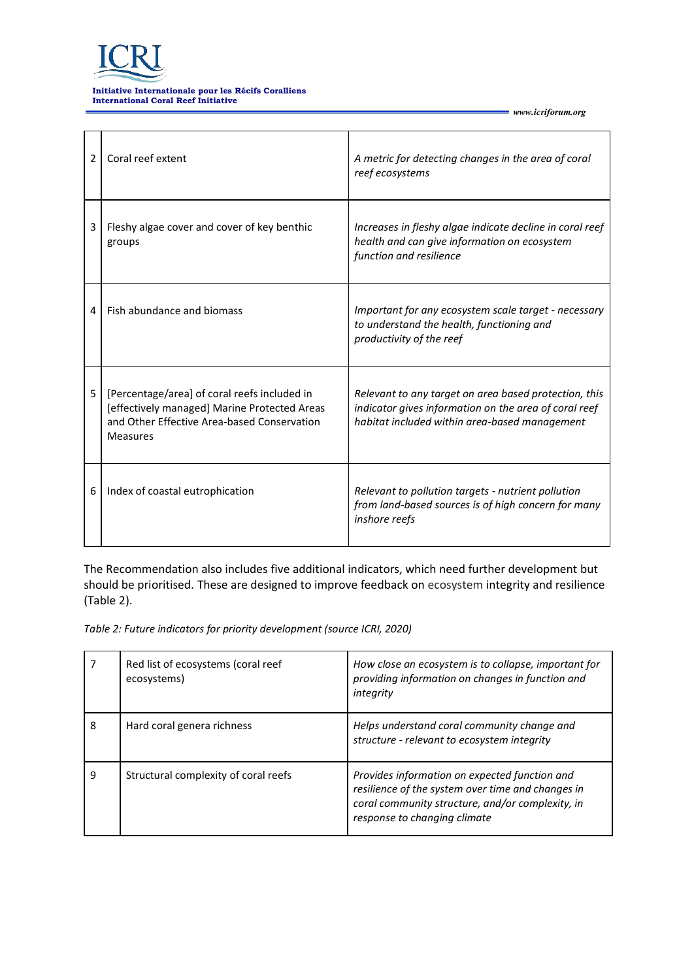

#### **Initiative Internationale pour les Récifs Coralliens International Coral Reef Initiative**

| 2 | Coral reef extent                                                                                                                                              | A metric for detecting changes in the area of coral<br>reef ecosystems                                                                                          |
|---|----------------------------------------------------------------------------------------------------------------------------------------------------------------|-----------------------------------------------------------------------------------------------------------------------------------------------------------------|
| 3 | Fleshy algae cover and cover of key benthic<br>groups                                                                                                          | Increases in fleshy algae indicate decline in coral reef<br>health and can give information on ecosystem<br>function and resilience                             |
| 4 | Fish abundance and biomass                                                                                                                                     | Important for any ecosystem scale target - necessary<br>to understand the health, functioning and<br>productivity of the reef                                   |
| 5 | [Percentage/area] of coral reefs included in<br>[effectively managed] Marine Protected Areas<br>and Other Effective Area-based Conservation<br><b>Measures</b> | Relevant to any target on area based protection, this<br>indicator gives information on the area of coral reef<br>habitat included within area-based management |
| 6 | Index of coastal eutrophication                                                                                                                                | Relevant to pollution targets - nutrient pollution<br>from land-based sources is of high concern for many<br>inshore reefs                                      |

*www.icriforum.org* 

The Recommendation also includes five additional indicators, which need further development but should be prioritised. These are designed to improve feedback on ecosystem integrity and resilience (Table 2).

*Table 2: Future indicators for priority development (source ICRI, 2020)*

|   | Red list of ecosystems (coral reef<br>ecosystems) | How close an ecosystem is to collapse, important for<br>providing information on changes in function and<br>integrity                                                                  |
|---|---------------------------------------------------|----------------------------------------------------------------------------------------------------------------------------------------------------------------------------------------|
| 8 | Hard coral genera richness                        | Helps understand coral community change and<br>structure - relevant to ecosystem integrity                                                                                             |
| 9 | Structural complexity of coral reefs              | Provides information on expected function and<br>resilience of the system over time and changes in<br>coral community structure, and/or complexity, in<br>response to changing climate |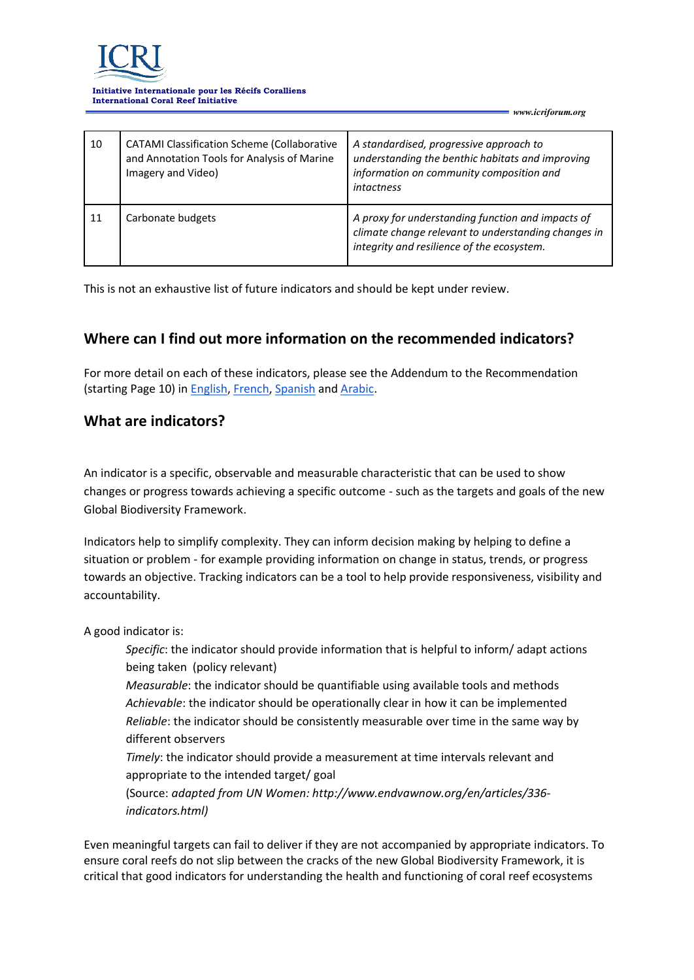

#### **Initiative Internationale pour les Récifs Coralliens International Coral Reef Initiative**

| 10 | <b>CATAMI Classification Scheme (Collaborative</b><br>and Annotation Tools for Analysis of Marine<br>Imagery and Video) | A standardised, progressive approach to<br>understanding the benthic habitats and improving<br>information on community composition and<br><i>intactness</i> |
|----|-------------------------------------------------------------------------------------------------------------------------|--------------------------------------------------------------------------------------------------------------------------------------------------------------|
| 11 | Carbonate budgets                                                                                                       | A proxy for understanding function and impacts of<br>climate change relevant to understanding changes in<br>integrity and resilience of the ecosystem.       |

*www.icriforum.org* 

This is not an exhaustive list of future indicators and should be kept under review.

### **Where can I find out more information on the recommended indicators?**

For more detail on each of these indicators, please see the Addendum to the Recommendation (starting Page 10) in [English,](https://www.icriforum.org/wp-content/uploads/2020/05/ICRI-recommendation-Post2020-FINAL.pdf) [French,](https://www.icriforum.org/wp-content/uploads/2020/06/ICRI-recommendation-Post2020-FINAL_FRENCH.pdf) [Spanish](https://www.icriforum.org/wp-content/uploads/2020/06/ICRI-recommendation-Post2020-FINAL_SPANISH.pdf) an[d Arabic.](https://www.icriforum.org/wp-content/uploads/2020/06/ICRI-Recommendation-Summary.Arabic.pdf)

#### **What are indicators?**

An indicator is a specific, observable and measurable characteristic that can be used to show changes or progress towards achieving a specific outcome - such as the targets and goals of the new Global Biodiversity Framework.

Indicators help to simplify complexity. They can inform decision making by helping to define a situation or problem - for example providing information on change in status, trends, or progress towards an objective. Tracking indicators can be a tool to help provide responsiveness, visibility and accountability.

A good indicator is:

*Specific*: the indicator should provide information that is helpful to inform/ adapt actions being taken (policy relevant)

*Measurable*: the indicator should be quantifiable using available tools and methods *Achievable*: the indicator should be operationally clear in how it can be implemented *Reliable*: the indicator should be consistently measurable over time in the same way by different observers

*Timely*: the indicator should provide a measurement at time intervals relevant and appropriate to the intended target/ goal

(Source: *adapted from UN Women: http://www.endvawnow.org/en/articles/336 indicators.html)*

Even meaningful targets can fail to deliver if they are not accompanied by appropriate indicators. To ensure coral reefs do not slip between the cracks of the new Global Biodiversity Framework, it is critical that good indicators for understanding the health and functioning of coral reef ecosystems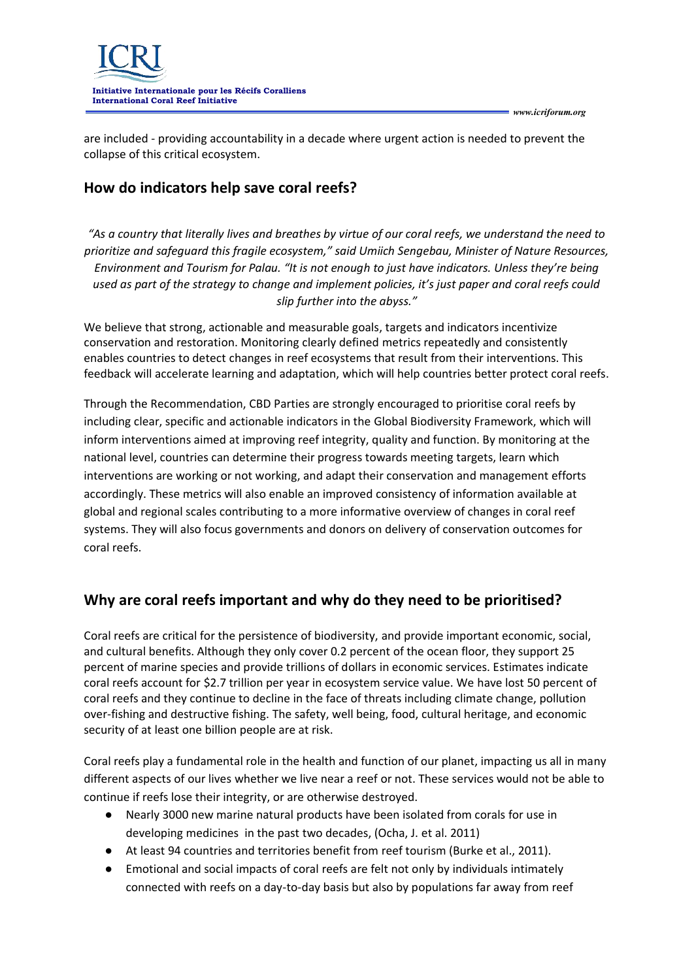



are included - providing accountability in a decade where urgent action is needed to prevent the collapse of this critical ecosystem.

## **How do indicators help save coral reefs?**

*"As a country that literally lives and breathes by virtue of our coral reefs, we understand the need to prioritize and safeguard this fragile ecosystem," said Umiich Sengebau, Minister of Nature Resources, Environment and Tourism for Palau. "It is not enough to just have indicators. Unless they're being used as part of the strategy to change and implement policies, it's just paper and coral reefs could slip further into the abyss."*

We believe that strong, actionable and measurable goals, targets and indicators incentivize conservation and restoration. Monitoring clearly defined metrics repeatedly and consistently enables countries to detect changes in reef ecosystems that result from their interventions. This feedback will accelerate learning and adaptation, which will help countries better protect coral reefs.

Through the Recommendation, CBD Parties are strongly encouraged to prioritise coral reefs by including clear, specific and actionable indicators in the Global Biodiversity Framework, which will inform interventions aimed at improving reef integrity, quality and function. By monitoring at the national level, countries can determine their progress towards meeting targets, learn which interventions are working or not working, and adapt their conservation and management efforts accordingly. These metrics will also enable an improved consistency of information available at global and regional scales contributing to a more informative overview of changes in coral reef systems. They will also focus governments and donors on delivery of conservation outcomes for coral reefs.

## **Why are coral reefs important and why do they need to be prioritised?**

Coral reefs are critical for the persistence of biodiversity, and provide important economic, social, and cultural benefits. Although they only cover 0.2 percent of the ocean floor, they support 25 percent of marine species and provide trillions of dollars in economic services. Estimates indicate coral reefs account for \$2.7 trillion per year in ecosystem service value. We have lost 50 percent of coral reefs and they continue to decline in the face of threats including climate change, pollution over-fishing and destructive fishing. The safety, well being, food, cultural heritage, and economic security of at least one billion people are at risk.

Coral reefs play a fundamental role in the health and function of our planet, impacting us all in many different aspects of our lives whether we live near a reef or not. These services would not be able to continue if reefs lose their integrity, or are otherwise destroyed.

- Nearly 3000 new marine natural products have been isolated from corals for use in developing medicines in the past two decades, (Ocha, J. et al. 2011)
- At least 94 countries and territories benefit from reef tourism (Burke et al., 2011).
- Emotional and social impacts of coral reefs are felt not only by individuals intimately connected with reefs on a day-to-day basis but also by populations far away from reef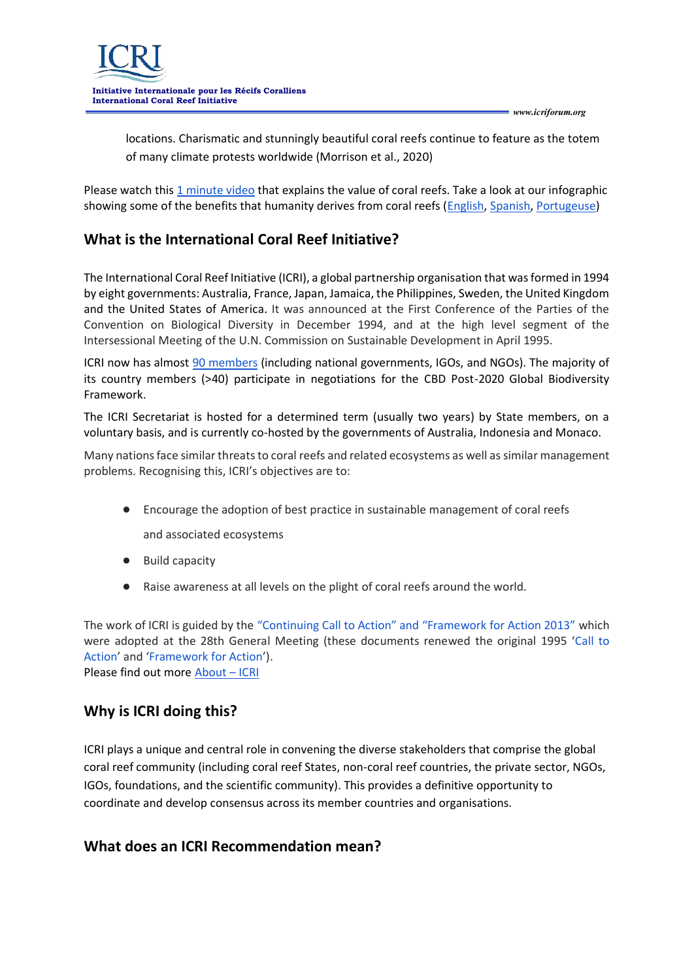locations. Charismatic and stunningly beautiful coral reefs continue to feature as the totem of many climate protests worldwide (Morrison et al., 2020)

Please watch thi[s 1 minute video](https://www.icriforum.org/wp-content/uploads/2020/05/ICRI-social-video.mp4?_=1) that explains the value of coral reefs. Take a look at our infographic showing some of the benefits that humanity derives from coral reefs [\(English,](https://www.icriforum.org/wp-content/uploads/2020/05/Value-scaled.jpg) [Spanish,](https://www.icriforum.org/wp-content/uploads/2020/06/ValueSpanish-scaled.jpg) [Portugeuse\)](https://www.icriforum.org/wp-content/uploads/2020/07/ICRI_Indicators_Portuguese_Value.jpg)

## **What is the International Coral Reef Initiative?**

The International Coral Reef Initiative (ICRI), a global partnership organisation that was formed in 1994 by eight governments: Australia, France, Japan, Jamaica, the Philippines, Sweden, the United Kingdom and the United States of America. It was announced at the First Conference of the Parties of the Convention on Biological Diversity in December 1994, and at the high level segment of the Intersessional Meeting of the U.N. Commission on Sustainable Development in April 1995.

ICRI now has almost [90 members](https://www.icriforum.org/members/) (including national governments, IGOs, and NGOs). The majority of its country members (>40) participate in negotiations for the CBD Post-2020 Global Biodiversity Framework.

The ICRI Secretariat is hosted for a determined term (usually two years) by State members, on a voluntary basis, and is currently co-hosted by the governments of Australia, Indonesia and Monaco.

Many nations face similar threats to coral reefs and related ecosystems as well as similar management problems. Recognising this, ICRI's objectives are to:

● Encourage the adoption of best practice in sustainable management of coral reefs

and associated ecosystems

- Build capacity
- Raise awareness at all levels on the plight of coral reefs around the world.

The work of ICRI is guided by the ["Continuing Call to Action" and "Framework for Action 2013"](https://www.icriforum.org/documents/resolution-on-the-continuing-call-to-action-and-framework-for-action-2013/) which were adopted at the 28th General Meeting (these documents renewed the original 1995 '[Call to](https://www.icriforum.org/wp-content/uploads/2019/12/call_action.pdf)  [Action](https://www.icriforum.org/wp-content/uploads/2019/12/call_action.pdf)' and '[Framework for Action](https://www.icriforum.org/wp-content/uploads/2019/12/framework_action.pdf)').

Please find out more [About](https://www.icriforum.org/about/) – ICRI

#### **Why is ICRI doing this?**

ICRI plays a unique and central role in convening the diverse stakeholders that comprise the global coral reef community (including coral reef States, non-coral reef countries, the private sector, NGOs, IGOs, foundations, and the scientific community). This provides a definitive opportunity to coordinate and develop consensus across its member countries and organisations.

#### **What does an ICRI Recommendation mean?**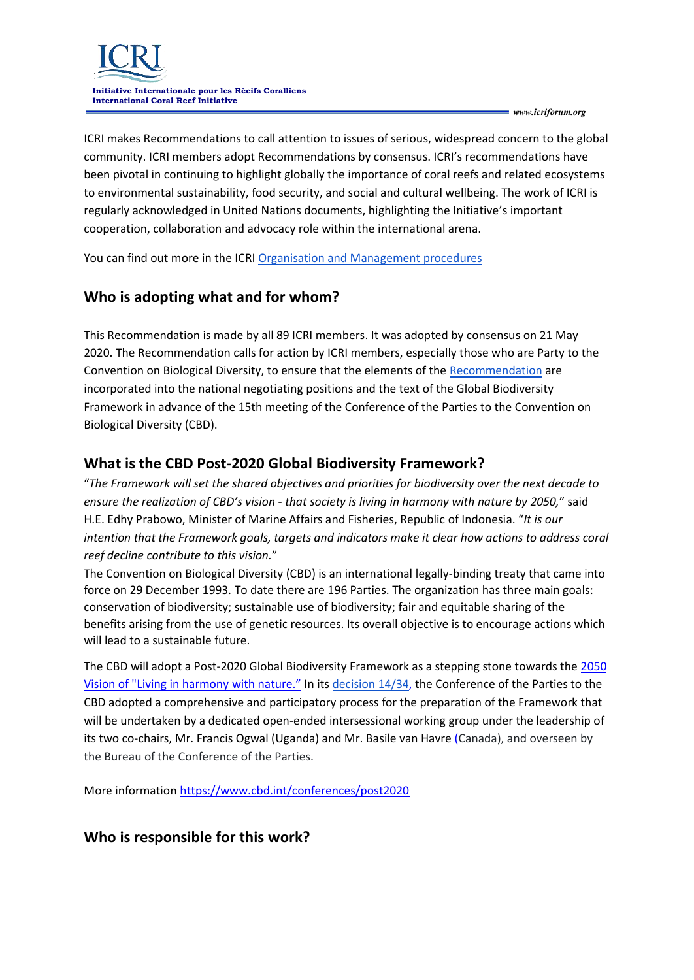

ICRI makes Recommendations to call attention to issues of serious, widespread concern to the global community. ICRI members adopt Recommendations by consensus. ICRI's recommendations have been pivotal in continuing to highlight globally the importance of coral reefs and related ecosystems to environmental sustainability, food security, and social and cultural wellbeing. The work of ICRI is regularly acknowledged in United Nations documents, highlighting the Initiative's important cooperation, collaboration and advocacy role within the international arena.

You can find out more in the ICRI [Organisation and Management procedures](https://www.icriforum.org/documents/organization-and-management-procedures-for-the-international-coral-reef-initiative-2018/)

### **Who is adopting what and for whom?**

This Recommendation is made by all 89 ICRI members. It was adopted by consensus on 21 May 2020. The Recommendation calls for action by ICRI members, especially those who are Party to the Convention on Biological Diversity, to ensure that the elements of the [Recommendation](https://www.icriforum.org/wp-content/uploads/2020/05/ICRI-recommendation-Post2020-FINAL.pdf) are incorporated into the national negotiating positions and the text of the Global Biodiversity Framework in advance of the 15th meeting of the Conference of the Parties to the Convention on Biological Diversity (CBD).

#### **What is the CBD Post-2020 Global Biodiversity Framework?**

"*The Framework will set the shared objectives and priorities for biodiversity over the next decade to ensure the realization of CBD's vision - that society is living in harmony with nature by 2050,*" said H.E. Edhy Prabowo, Minister of Marine Affairs and Fisheries, Republic of Indonesia. "*It is our intention that the Framework goals, targets and indicators make it clear how actions to address coral reef decline contribute to this vision.*"

The Convention on Biological Diversity (CBD) is an international legally-binding treaty that came into force on 29 December 1993. To date there are 196 Parties. The organization has three main goals: conservation of biodiversity; sustainable use of biodiversity; fair and equitable sharing of the benefits arising from the use of genetic resources. Its overall objective is to encourage actions which will lead to a sustainable future.

The CBD will adopt a Post-2020 Global Biodiversity Framework as a stepping stone towards the 2050 Vision of "Living in harmony with nature." In its [decision 14/34,](https://www.cbd.int/doc/decisions/cop-14/cop-14-dec-34-en.pdf) the Conference of the Parties to the CBD adopted a comprehensive and participatory process for the preparation of the Framework that will be undertaken by a dedicated open-ended intersessional working group under the leadership of its two co-chairs, Mr. Francis Ogwal (Uganda) and Mr. Basile van Havre (Canada), and overseen by the Bureau of the Conference of the Parties.

More information <https://www.cbd.int/conferences/post2020>

#### **Who is responsible for this work?**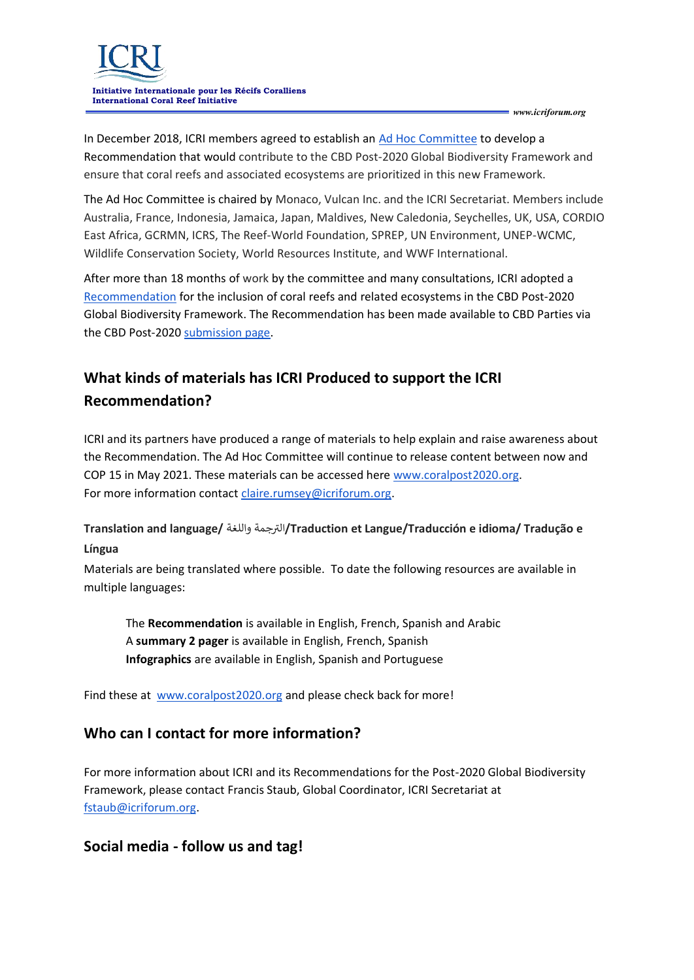

In December 2018, ICRI members agreed to establish an [Ad Hoc Committee](https://www.icriforum.org/terms-of-reference-for-the-ad-hoc-committee-on-developing-a-recommendation-for-a-post-2020-coral-reef-target/) to develop a Recommendation that would contribute to the CBD Post-2020 Global Biodiversity Framework and ensure that coral reefs and associated ecosystems are prioritized in this new Framework.

The Ad Hoc Committee is chaired by Monaco, Vulcan Inc. and the ICRI Secretariat. Members include Australia, France, Indonesia, Jamaica, Japan, Maldives, New Caledonia, Seychelles, UK, USA, CORDIO East Africa, GCRMN, ICRS, The Reef-World Foundation, SPREP, UN Environment, UNEP-WCMC, Wildlife Conservation Society, World Resources Institute, and WWF International.

After more than 18 months of work by the committee and many consultations, ICRI adopted a [Recommendation](https://www.icriforum.org/post2020/) for the inclusion of coral reefs and related ecosystems in the CBD Post-2020 Global Biodiversity Framework. The Recommendation has been made available to CBD Parties via the CBD Post-2020 [submission page.](https://www.cbd.int/conferences/post2020/submissions)

# **What kinds of materials has ICRI Produced to support the ICRI Recommendation?**

ICRI and its partners have produced a range of materials to help explain and raise awareness about the Recommendation. The Ad Hoc Committee will continue to release content between now and COP 15 in May 2021. These materials can be accessed here [www.coralpost2020.org.](http://www.coralpost2020.org/) For more information contact [claire.rumsey@icriforum.org.](mailto:claire.rumsey@icriforum.org)

## **Translation and language/** واللغة جمة <sup>ر</sup> الت**/Traduction et Langue/Traducción e idioma/ Tradução e Língua**

Materials are being translated where possible. To date the following resources are available in multiple languages:

The **Recommendation** is available in English, French, Spanish and Arabic A **summary 2 pager** is available in English, French, Spanish **Infographics** are available in English, Spanish and Portuguese

Find these at [www.coralpost2020.org](http://www.coralpost2020.org/) and please check back for more!

#### **Who can I contact for more information?**

For more information about ICRI and its Recommendations for the Post-2020 Global Biodiversity Framework, please contact Francis Staub, Global Coordinator, ICRI Secretariat at [fstaub@icriforum.org.](mailto:fstaub@icriforum.org)

## **Social media - follow us and tag!**